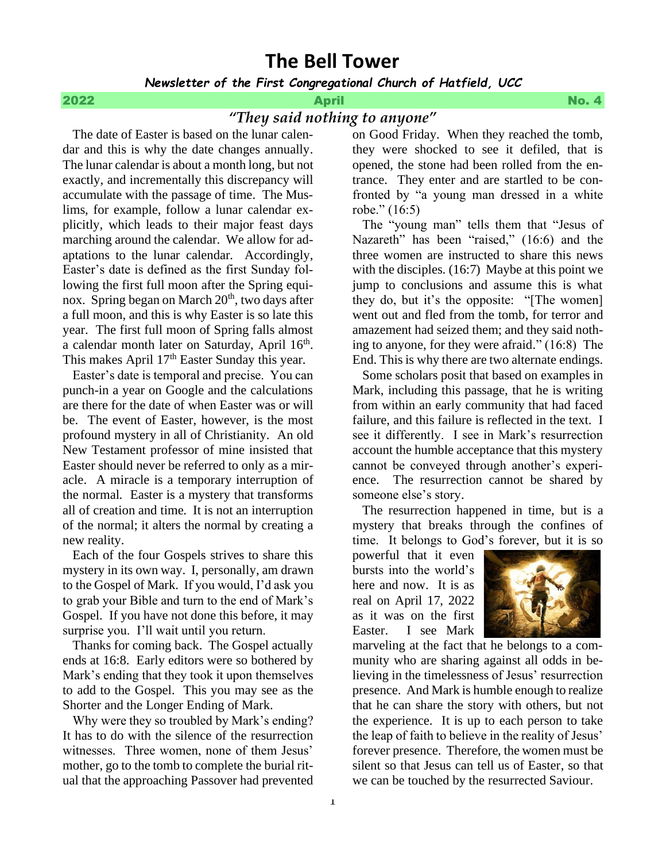# **The Bell Tower**

*Newsletter of the First Congregational Church of Hatfield, UCC*

## 2022 April No. 4

## *"They said nothing to anyone"*

 The date of Easter is based on the lunar calendar and this is why the date changes annually. The lunar calendar is about a month long, but not exactly, and incrementally this discrepancy will accumulate with the passage of time. The Muslims, for example, follow a lunar calendar explicitly, which leads to their major feast days marching around the calendar. We allow for adaptations to the lunar calendar. Accordingly, Easter's date is defined as the first Sunday following the first full moon after the Spring equinox. Spring began on March  $20<sup>th</sup>$ , two days after a full moon, and this is why Easter is so late this year. The first full moon of Spring falls almost a calendar month later on Saturday, April 16<sup>th</sup>. This makes April  $17<sup>th</sup>$  Easter Sunday this year.

 Easter's date is temporal and precise. You can punch-in a year on Google and the calculations are there for the date of when Easter was or will be. The event of Easter, however, is the most profound mystery in all of Christianity. An old New Testament professor of mine insisted that Easter should never be referred to only as a miracle. A miracle is a temporary interruption of the normal. Easter is a mystery that transforms all of creation and time. It is not an interruption of the normal; it alters the normal by creating a new reality.

 Each of the four Gospels strives to share this mystery in its own way. I, personally, am drawn to the Gospel of Mark. If you would, I'd ask you to grab your Bible and turn to the end of Mark's Gospel. If you have not done this before, it may surprise you. I'll wait until you return.

 Thanks for coming back. The Gospel actually ends at 16:8. Early editors were so bothered by Mark's ending that they took it upon themselves to add to the Gospel. This you may see as the Shorter and the Longer Ending of Mark.

 Why were they so troubled by Mark's ending? It has to do with the silence of the resurrection witnesses. Three women, none of them Jesus' mother, go to the tomb to complete the burial ritual that the approaching Passover had prevented on Good Friday. When they reached the tomb, they were shocked to see it defiled, that is opened, the stone had been rolled from the entrance. They enter and are startled to be confronted by "a young man dressed in a white robe." (16:5)

 The "young man" tells them that "Jesus of Nazareth" has been "raised," (16:6) and the three women are instructed to share this news with the disciples. (16:7) Maybe at this point we jump to conclusions and assume this is what they do, but it's the opposite: "[The women] went out and fled from the tomb, for terror and amazement had seized them; and they said nothing to anyone, for they were afraid." (16:8) The End. This is why there are two alternate endings.

 Some scholars posit that based on examples in Mark, including this passage, that he is writing from within an early community that had faced failure, and this failure is reflected in the text. I see it differently. I see in Mark's resurrection account the humble acceptance that this mystery cannot be conveyed through another's experience. The resurrection cannot be shared by someone else's story.

 The resurrection happened in time, but is a mystery that breaks through the confines of time. It belongs to God's forever, but it is so

powerful that it even bursts into the world's here and now. It is as real on April 17, 2022 as it was on the first Easter. I see Mark



marveling at the fact that he belongs to a community who are sharing against all odds in believing in the timelessness of Jesus' resurrection presence. And Mark is humble enough to realize that he can share the story with others, but not the experience. It is up to each person to take the leap of faith to believe in the reality of Jesus' forever presence. Therefore, the women must be silent so that Jesus can tell us of Easter, so that we can be touched by the resurrected Saviour.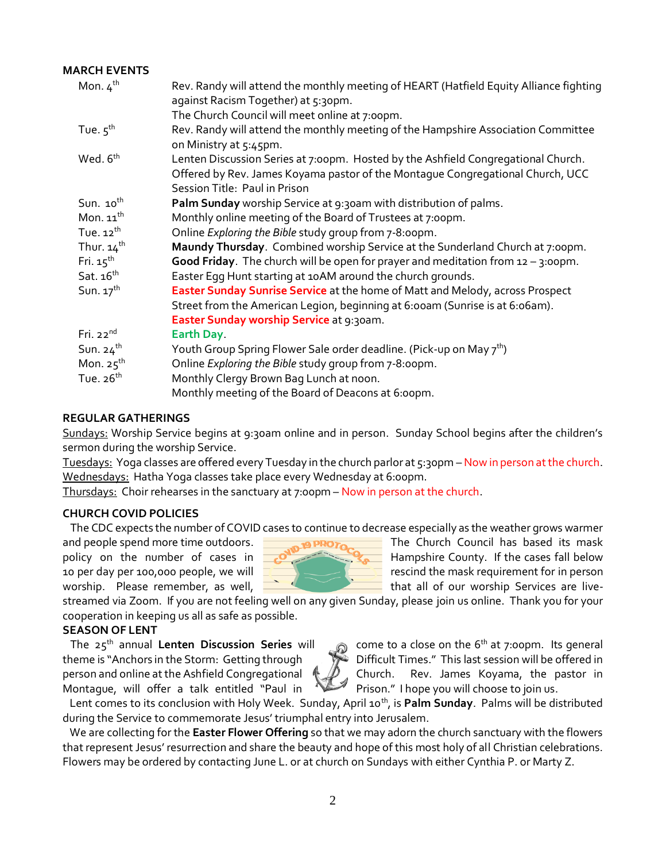## **MARCH EVENTS**

| Mon. $4^{th}$            | Rev. Randy will attend the monthly meeting of HEART (Hatfield Equity Alliance fighting<br>against Racism Together) at 5:30pm.                                                                        |
|--------------------------|------------------------------------------------------------------------------------------------------------------------------------------------------------------------------------------------------|
|                          | The Church Council will meet online at 7:00pm.                                                                                                                                                       |
| Tue. $5^{th}$            | Rev. Randy will attend the monthly meeting of the Hampshire Association Committee<br>on Ministry at 5:45pm.                                                                                          |
| Wed. 6 <sup>th</sup>     | Lenten Discussion Series at 7:00pm. Hosted by the Ashfield Congregational Church.<br>Offered by Rev. James Koyama pastor of the Montaque Congregational Church, UCC<br>Session Title: Paul in Prison |
| Sun. $10^{th}$           | Palm Sunday worship Service at 9:30am with distribution of palms.                                                                                                                                    |
| Mon. $11^{th}$           | Monthly online meeting of the Board of Trustees at 7:00pm.                                                                                                                                           |
| Tue. $12^{th}$           | Online Exploring the Bible study group from 7-8:00pm.                                                                                                                                                |
| Thur. $14$ <sup>th</sup> | Maundy Thursday. Combined worship Service at the Sunderland Church at 7:00pm.                                                                                                                        |
| Fri. $15th$              | Good Friday. The church will be open for prayer and meditation from $12 - 3$ :00pm.                                                                                                                  |
| Sat. $16th$              | Easter Egg Hunt starting at 10AM around the church grounds.                                                                                                                                          |
| Sun. $17^{th}$           | Easter Sunday Sunrise Service at the home of Matt and Melody, across Prospect                                                                                                                        |
|                          | Street from the American Legion, beginning at 6:00am (Sunrise is at 6:06am).                                                                                                                         |
|                          | Easter Sunday worship Service at 9:30am.                                                                                                                                                             |
| Fri. $22^{nd}$           | Earth Day.                                                                                                                                                                                           |
| Sun. $24^{th}$           | Youth Group Spring Flower Sale order deadline. (Pick-up on May 7 <sup>th</sup> )                                                                                                                     |
| Mon. $25^{\text{th}}$    | Online Exploring the Bible study group from 7-8:00pm.                                                                                                                                                |
| Tue. $26th$              | Monthly Clergy Brown Bag Lunch at noon.                                                                                                                                                              |
|                          | Monthly meeting of the Board of Deacons at 6:00pm.                                                                                                                                                   |

## **REGULAR GATHERINGS**

Sundays: Worship Service begins at 9:30am online and in person. Sunday School begins after the children's sermon during the worship Service.

Tuesdays: Yoga classes are offered every Tuesday in the church parlor at 5:30pm –Now in person at the church. Wednesdays: Hatha Yoga classes take place every Wednesday at 6:00pm.

Thursdays: Choir rehearses in the sanctuary at 7:00pm – Now in person at the church.

## **CHURCH COVID POLICIES**

The CDC expects the number of COVID cases to continue to decrease especially as the weather grows warmer



and people spend more time outdoors. The **Church Council has based its mask** policy on the number of cases in  $\mathbb{R}$  Hampshire County. If the cases fall below 10 per day per 100,000 people, we will **respect to the mask requirement for in person** worship. Please remember, as well,  $\frac{1}{\sqrt{1-\frac{1}{n}}}$  that all of our worship Services are live-

streamed via Zoom. If you are not feeling well on any given Sunday, please join us online. Thank you for your cooperation in keeping us all as safe as possible.

## **SEASON OF LENT**

The 25<sup>th</sup> annual **Lenten Discussion Series** will come to a close on the 6<sup>th</sup> at 7:00pm. Its general theme is "Anchors in the Storm: Getting through Difficult Times." This last session will be offered in person and online at the Ashfield Congregational  $\mathcal{P}$ , Church. Rev. James Koyama, the pastor in Montague, will offer a talk entitled "Paul in Prison." I hope you will choose to join us.



Lent comes to its conclusion with Holy Week. Sunday, April 10<sup>th</sup>, is **Palm Sunday**. Palms will be distributed during the Service to commemorate Jesus' triumphal entry into Jerusalem.

 We are collecting for the **Easter Flower Offering** so that we may adorn the church sanctuary with the flowers that represent Jesus' resurrection and share the beauty and hope of this most holy of all Christian celebrations. Flowers may be ordered by contacting June L. or at church on Sundays with either Cynthia P. or Marty Z.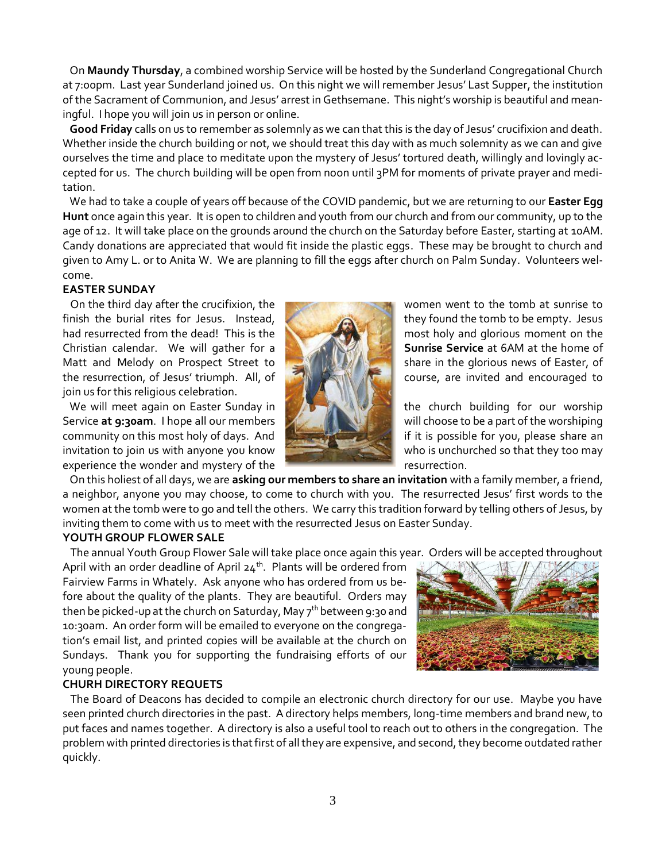On **Maundy Thursday**, a combined worship Service will be hosted by the Sunderland Congregational Church at 7:00pm. Last year Sunderland joined us. On this night we will remember Jesus' Last Supper, the institution of the Sacrament of Communion, and Jesus' arrest in Gethsemane. This night's worship is beautiful and meaningful. I hope you will join us in person or online.

 **Good Friday** calls on us to remember as solemnly as we can that this is the day of Jesus' crucifixion and death. Whether inside the church building or not, we should treat this day with as much solemnity as we can and give ourselves the time and place to meditate upon the mystery of Jesus' tortured death, willingly and lovingly accepted for us. The church building will be open from noon until 3PM for moments of private prayer and meditation.

 We had to take a couple of years off because of the COVID pandemic, but we are returning to our **Easter Egg Hunt** once again this year. It is open to children and youth from our church and from our community, up to the age of 12. It will take place on the grounds around the church on the Saturday before Easter, starting at 10AM. Candy donations are appreciated that would fit inside the plastic eggs. These may be brought to church and given to Amy L. or to Anita W. We are planning to fill the eggs after church on Palm Sunday. Volunteers welcome.

## **EASTER SUNDAY**

**On the third day after the crucifixion, the women went to the tomb at sunrise to the tomb at sunrise to** finish the burial rites for Jesus. Instead, they found the tomb to be empty. Jesus had resurrected from the dead! This is the most holy and glorious moment on the Christian calendar. We will gather for a **Sunrise Service** at 6AM at the home of Matt and Melody on Prospect Street to share in the glorious news of Easter, of the resurrection, of Jesus' triumph. All, of **course, are invited and encouraged to** join us for this religious celebration.

We will meet again on Easter Sunday in **the church building for our worship** Service **at 9:30am**. I hope all our members **will choose to be a part of the worshiping** community on this most holy of days. And **if it is possible for you, please share an** invitation to join us with anyone you know who who is unchurched so that they too may experience the wonder and mystery of the **results** resurrection.



 On this holiest of all days, we are **asking our members to share an invitation** with a family member, a friend, a neighbor, anyone you may choose, to come to church with you. The resurrected Jesus' first words to the women at the tomb were to go and tell the others. We carry this tradition forward by telling others of Jesus, by inviting them to come with us to meet with the resurrected Jesus on Easter Sunday.

## **YOUTH GROUP FLOWER SALE**

The annual Youth Group Flower Sale will take place once again this year. Orders will be accepted throughout

April with an order deadline of April  $24^{th}$ . Plants will be ordered from Fairview Farms in Whately. Ask anyone who has ordered from us before about the quality of the plants. They are beautiful. Orders may then be picked-up at the church on Saturday, May 7<sup>th</sup> between 9:30 and 10:30am. An order form will be emailed to everyone on the congregation's email list, and printed copies will be available at the church on Sundays. Thank you for supporting the fundraising efforts of our young people.



## **CHURH DIRECTORY REQUETS**

The Board of Deacons has decided to compile an electronic church directory for our use. Maybe you have seen printed church directories in the past. A directory helps members, long-time members and brand new, to put faces and names together. A directory is also a useful tool to reach out to others in the congregation. The problem with printed directories is that first of all they are expensive, and second, they become outdated rather quickly.